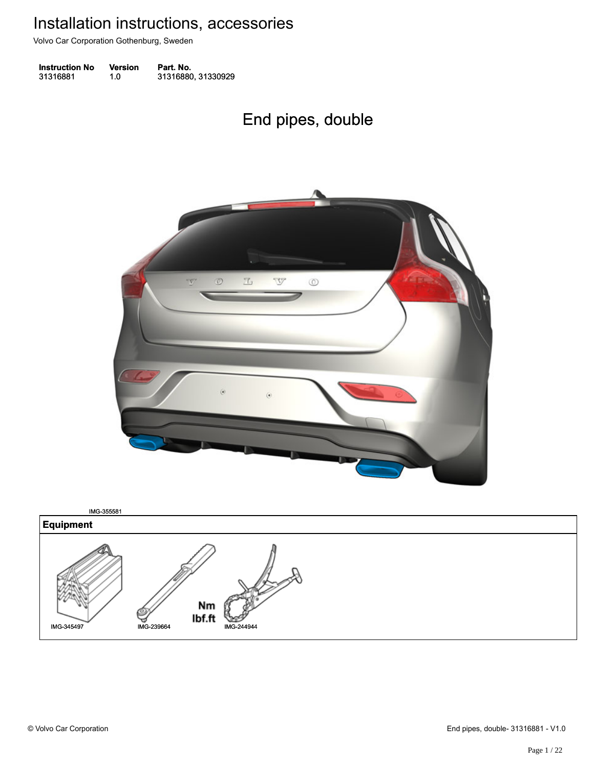Volvo Car Corporation Gothenburg, Sweden

| <b>Instruction No</b> | Version | Part. No.          |
|-----------------------|---------|--------------------|
| 31316881              | 1.0     | 31316880, 31330929 |

# End pipes, double End pipes, double



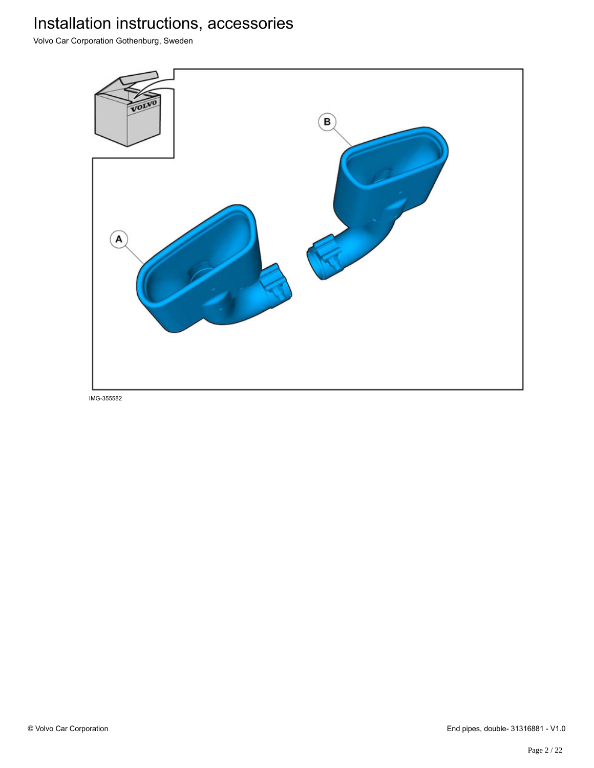Volvo Car Corporation Gothenburg, Sweden

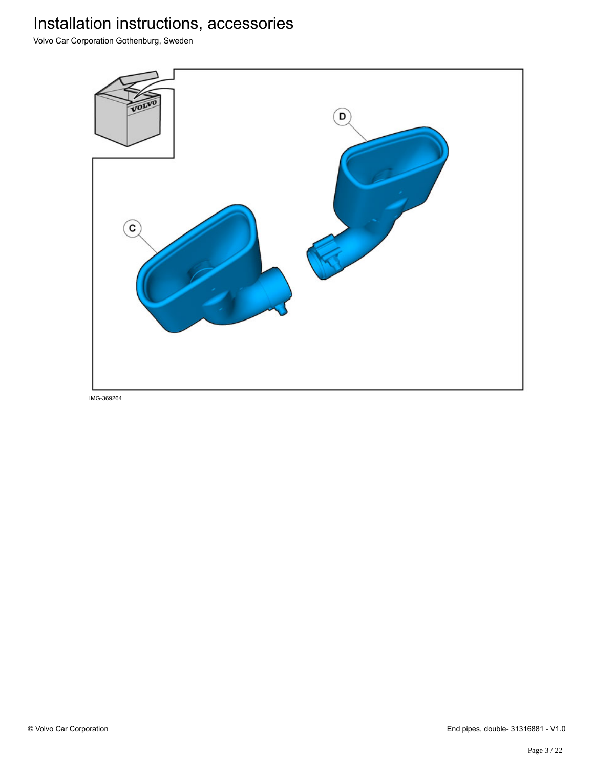Volvo Car Corporation Gothenburg, Sweden

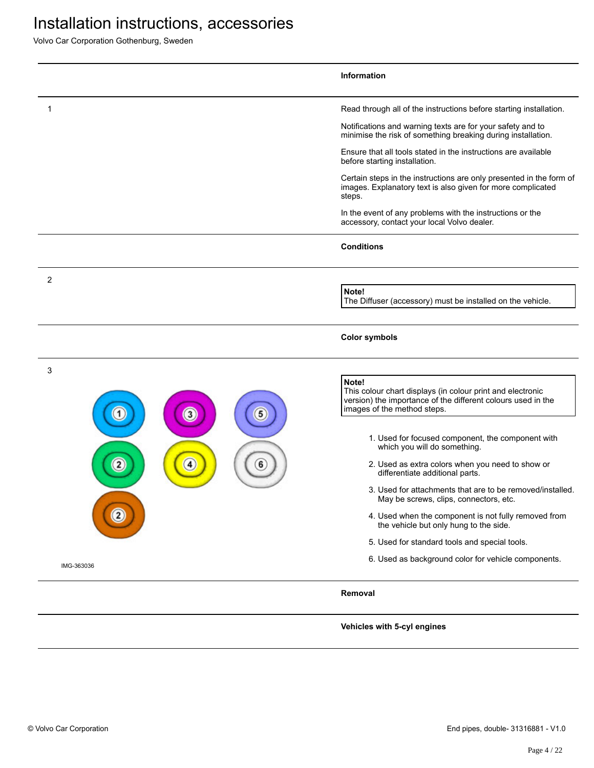Volvo Car Corporation Gothenburg, Sweden

|                                     | <b>Information</b>                                                                                                                                                 |
|-------------------------------------|--------------------------------------------------------------------------------------------------------------------------------------------------------------------|
| 1                                   | Read through all of the instructions before starting installation.                                                                                                 |
|                                     | Notifications and warning texts are for your safety and to<br>minimise the risk of something breaking during installation.                                         |
|                                     | Ensure that all tools stated in the instructions are available<br>before starting installation.                                                                    |
|                                     | Certain steps in the instructions are only presented in the form of<br>images. Explanatory text is also given for more complicated<br>steps.                       |
|                                     | In the event of any problems with the instructions or the<br>accessory, contact your local Volvo dealer.                                                           |
|                                     | <b>Conditions</b>                                                                                                                                                  |
| 2                                   | Note!<br>The Diffuser (accessory) must be installed on the vehicle.                                                                                                |
|                                     |                                                                                                                                                                    |
|                                     | <b>Color symbols</b>                                                                                                                                               |
| 3<br>5<br>$\mathbf{3}$              | Note!<br>This colour chart displays (in colour print and electronic<br>version) the importance of the different colours used in the<br>images of the method steps. |
|                                     | 1. Used for focused component, the component with<br>which you will do something.                                                                                  |
| $\mathbf{2}$<br>$\overline{4}$<br>6 | 2. Used as extra colors when you need to show or<br>differentiate additional parts.                                                                                |
|                                     | 3. Used for attachments that are to be removed/installed.<br>May be screws, clips, connectors, etc.                                                                |
|                                     | 4. Used when the component is not fully removed from<br>the vehicle but only hung to the side.                                                                     |
|                                     | 5. Used for standard tools and special tools.                                                                                                                      |
| IMG-363036                          | 6. Used as background color for vehicle components.                                                                                                                |
|                                     | Removal                                                                                                                                                            |

**Vehicles with 5-cyl engines**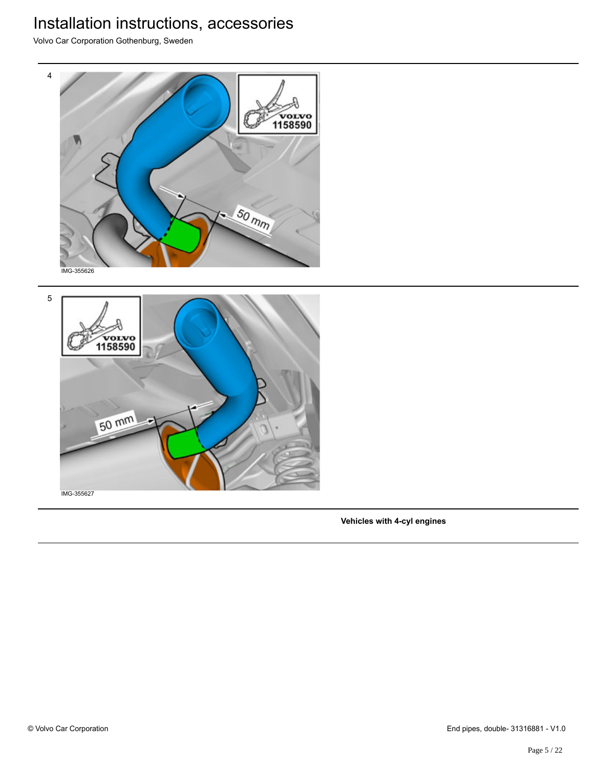Volvo Car Corporation Gothenburg, Sweden





IMG-355627

**Vehicles with 4-cyl engines**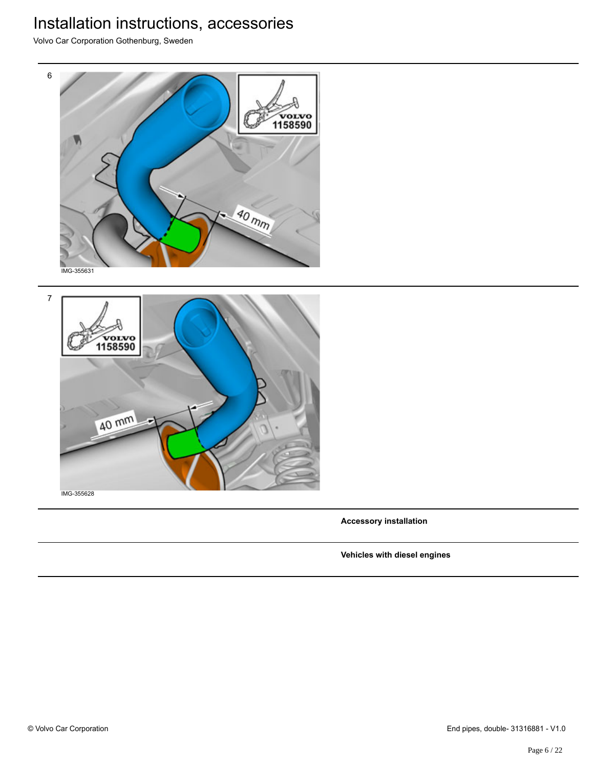Volvo Car Corporation Gothenburg, Sweden



7 vorvo<br>1158590 40 mm

IMG-355628

**Accessory installation**

**Vehicles with diesel engines**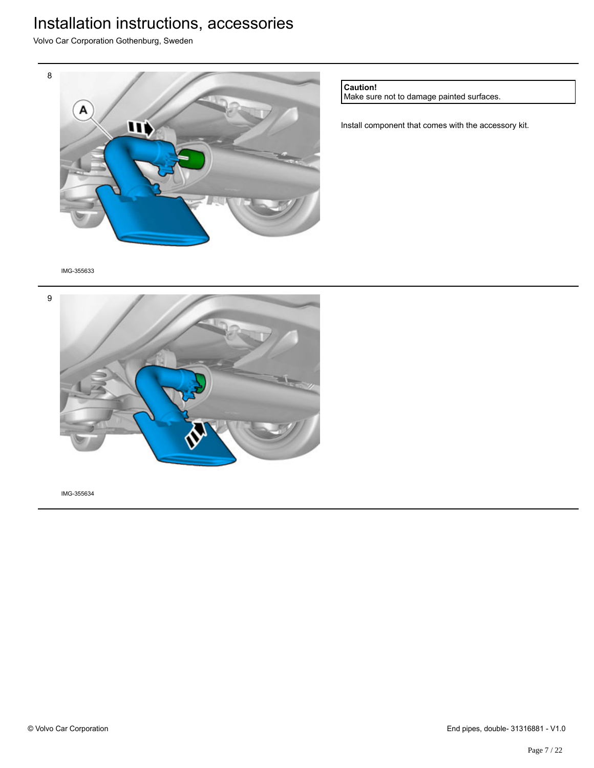Volvo Car Corporation Gothenburg, Sweden



**Caution!**

Make sure not to damage painted surfaces.

Install component that comes with the accessory kit.

IMG-355633

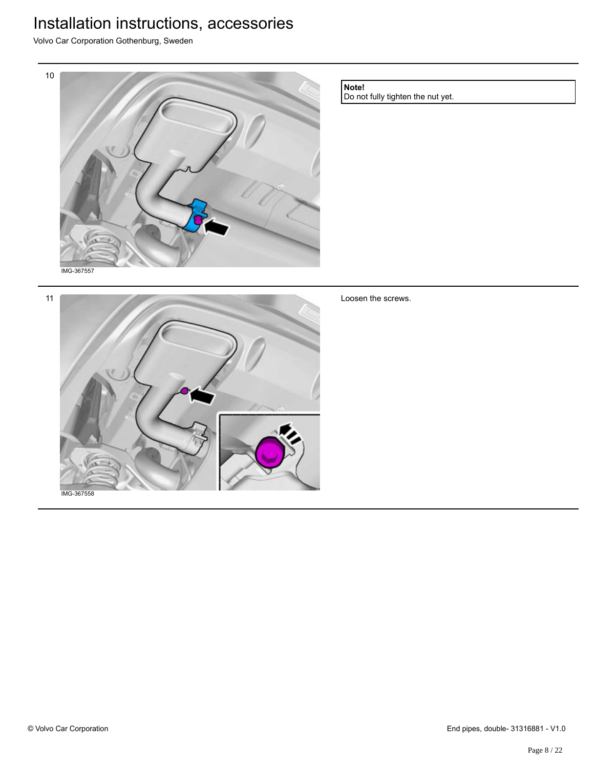Volvo Car Corporation Gothenburg, Sweden



**Note!**

Loosen the screws.

Do not fully tighten the nut yet.

11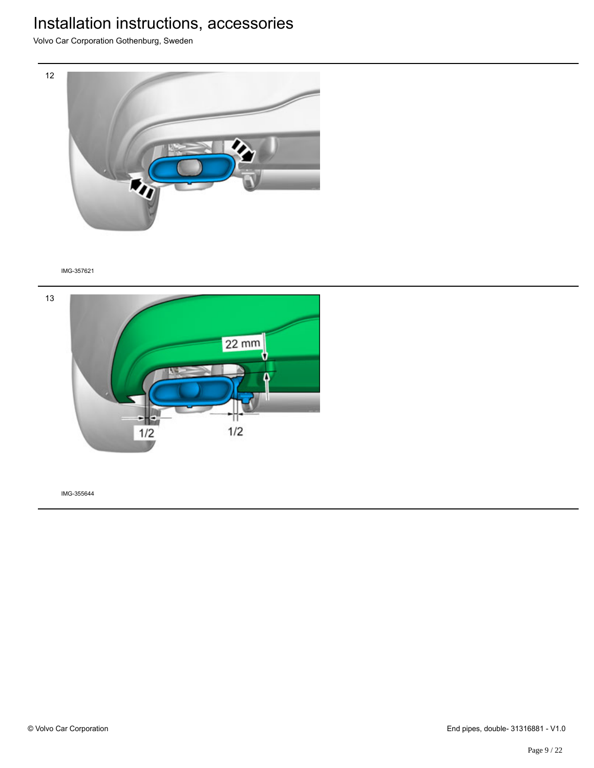Volvo Car Corporation Gothenburg, Sweden



#### IMG-357621

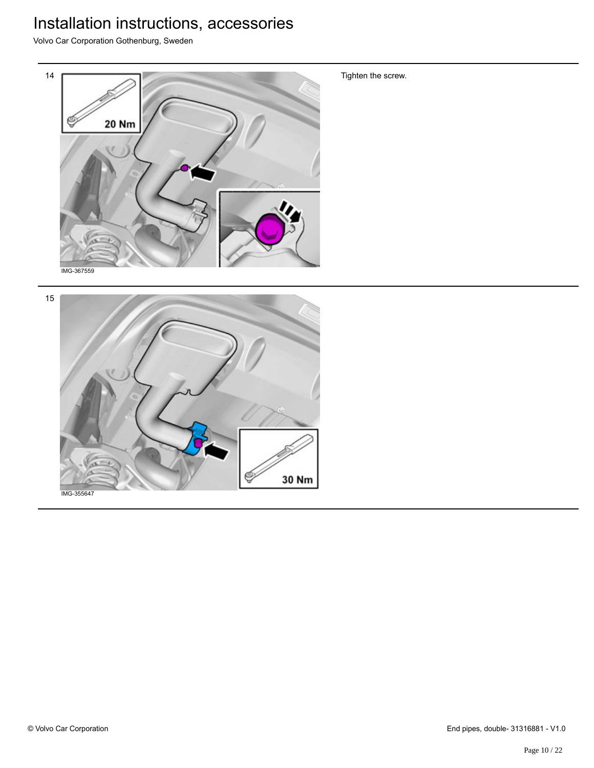Volvo Car Corporation Gothenburg, Sweden



Tighten the screw.

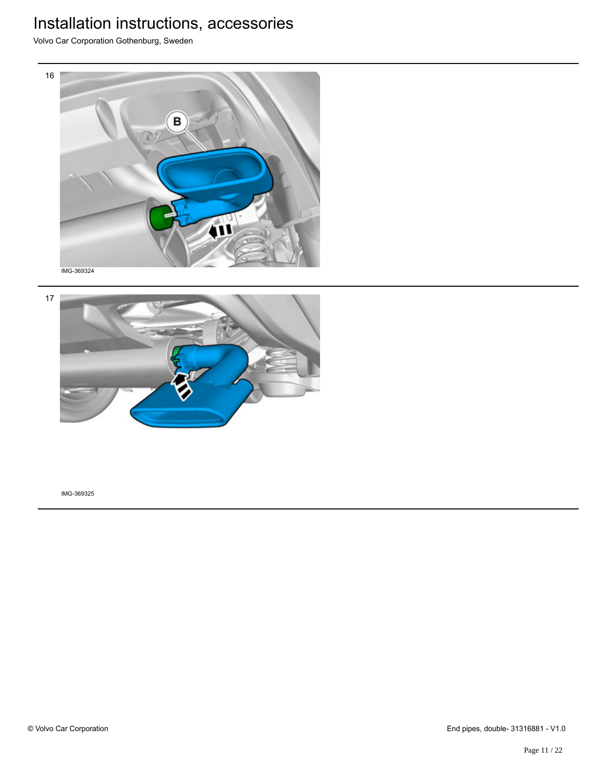Volvo Car Corporation Gothenburg, Sweden



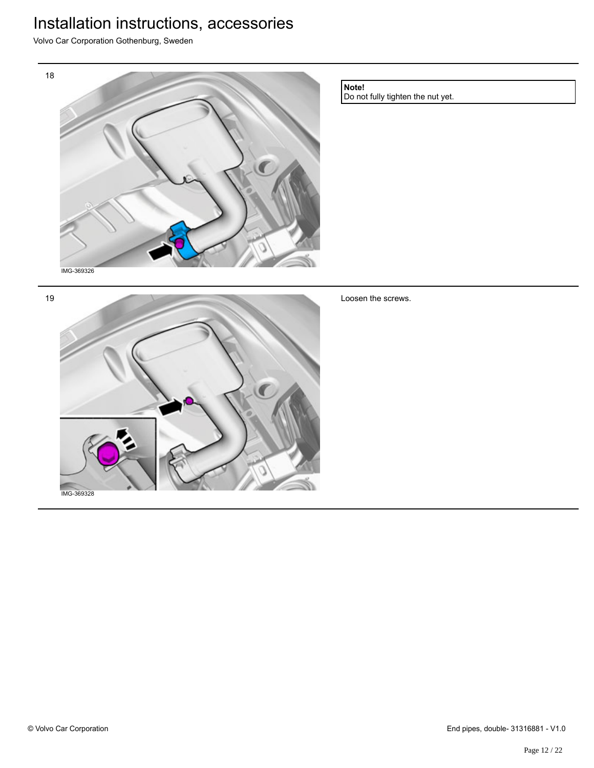Volvo Car Corporation Gothenburg, Sweden



**Note!**

Do not fully tighten the nut yet.

19



Loosen the screws.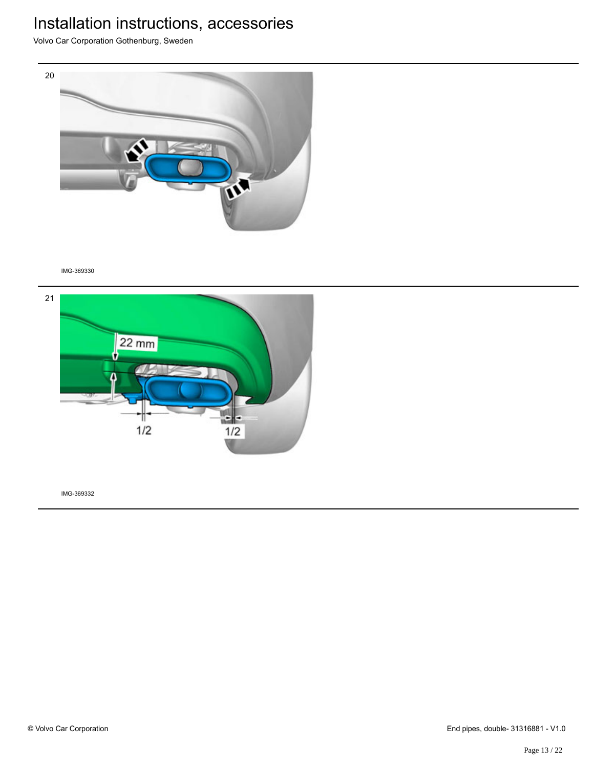Volvo Car Corporation Gothenburg, Sweden



IMG-369330

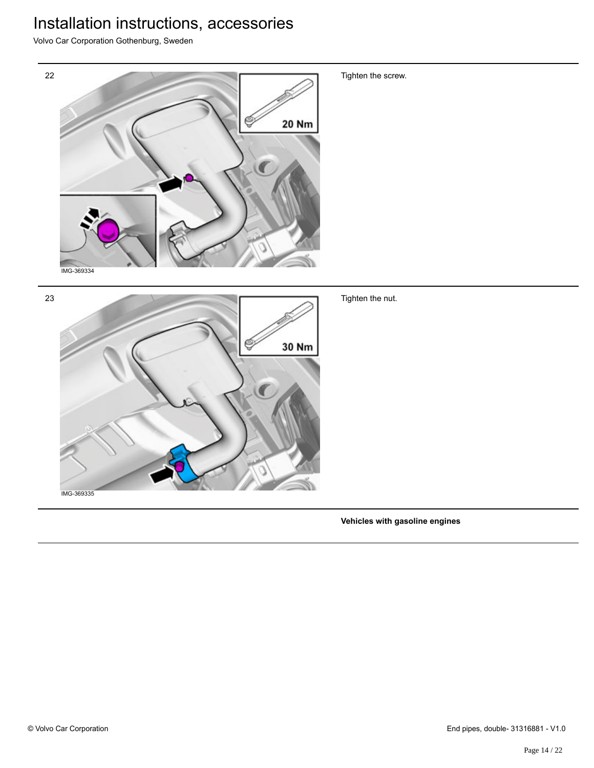Volvo Car Corporation Gothenburg, Sweden



**Vehicles with gasoline engines**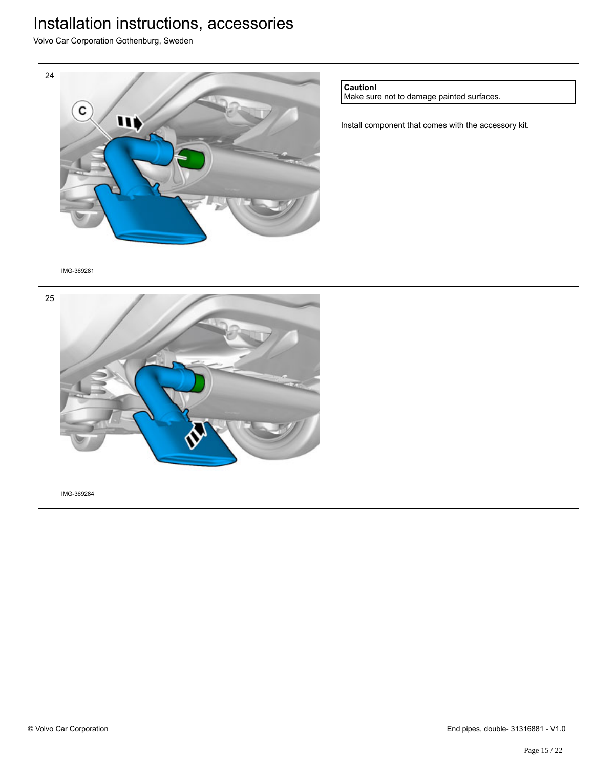Volvo Car Corporation Gothenburg, Sweden



**Caution!**

Make sure not to damage painted surfaces.

Install component that comes with the accessory kit.

IMG-369281

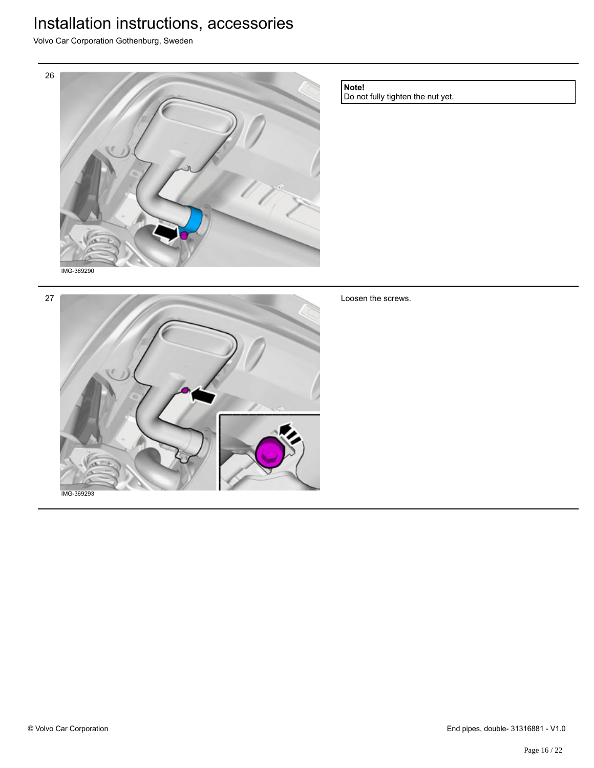Volvo Car Corporation Gothenburg, Sweden



**Note!**

Do not fully tighten the nut yet.

27

Loosen the screws.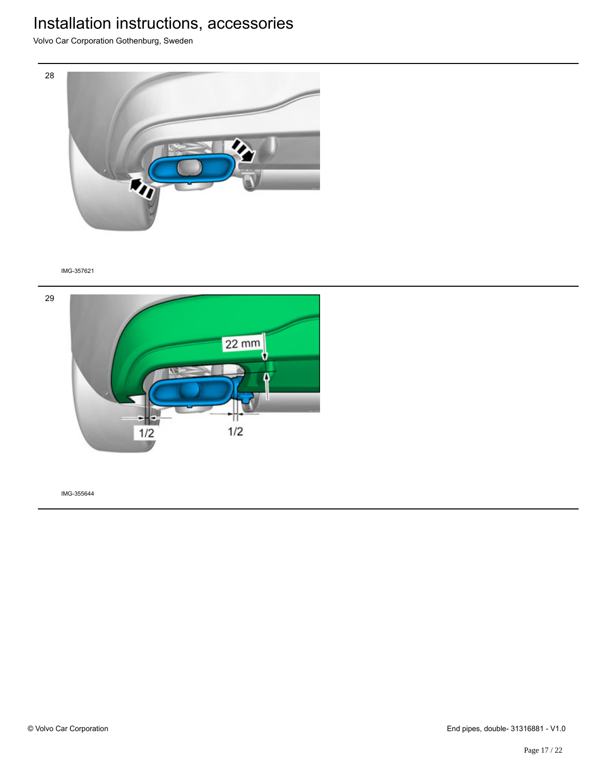Volvo Car Corporation Gothenburg, Sweden



#### IMG-357621

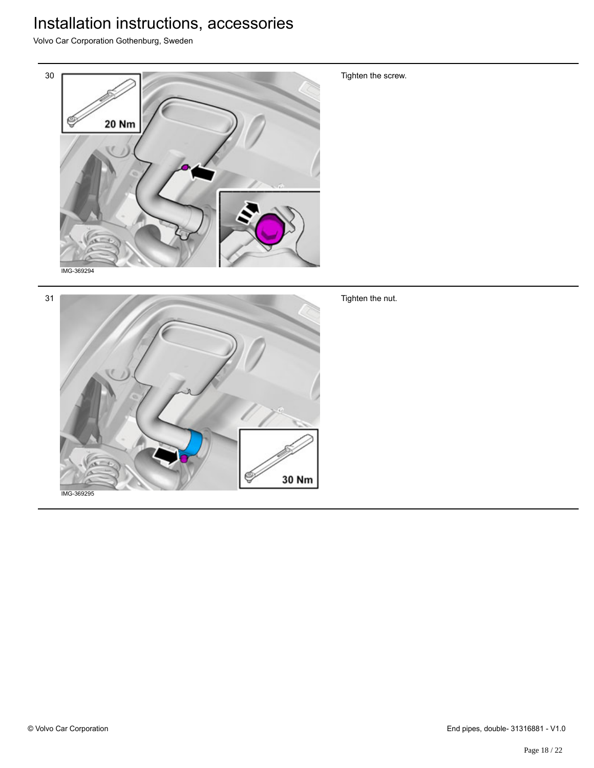Volvo Car Corporation Gothenburg, Sweden



Tighten the screw.

Tighten the nut.

30 Nm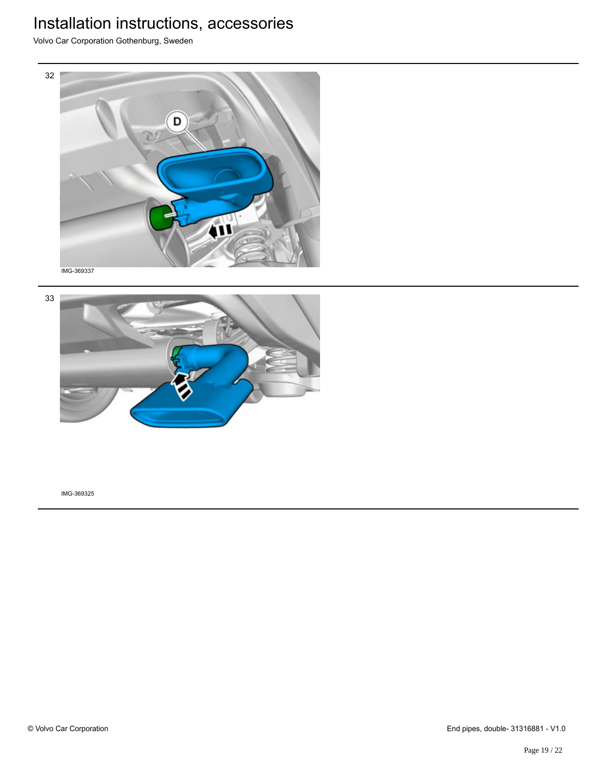Volvo Car Corporation Gothenburg, Sweden



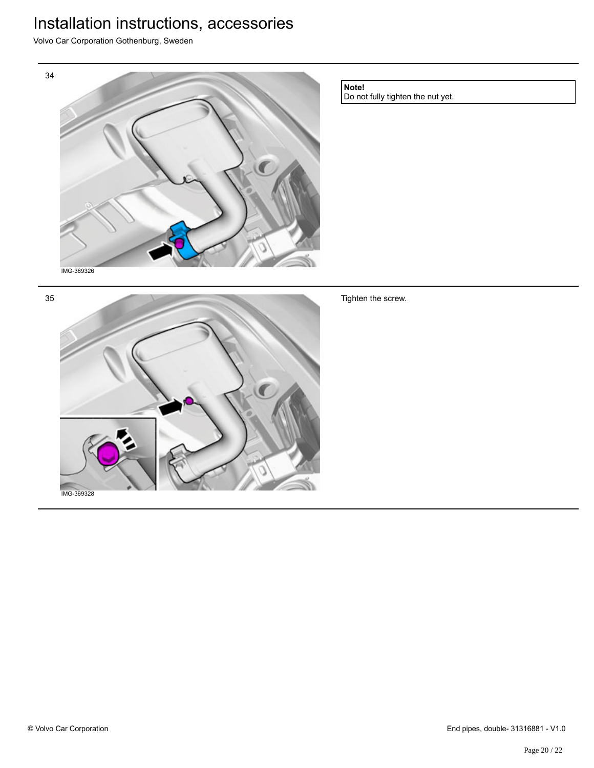Volvo Car Corporation Gothenburg, Sweden



Do not fully tighten the nut yet.

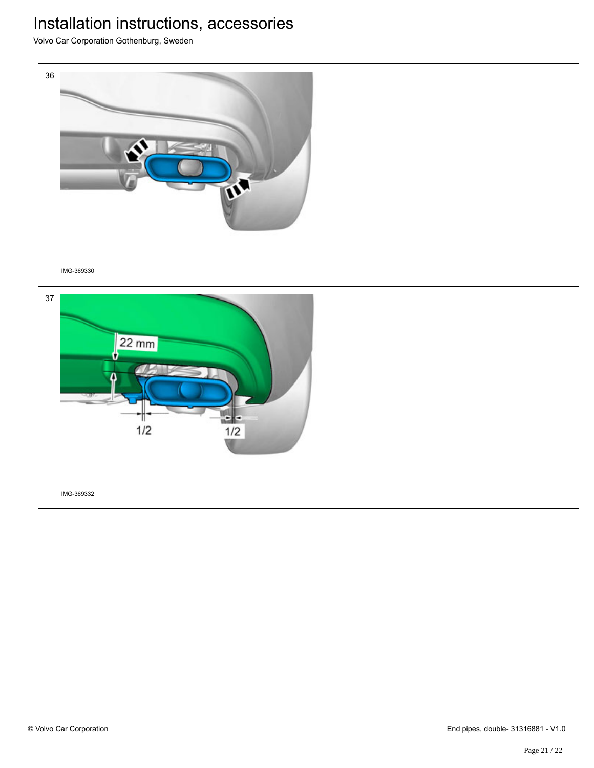Volvo Car Corporation Gothenburg, Sweden



IMG-369330